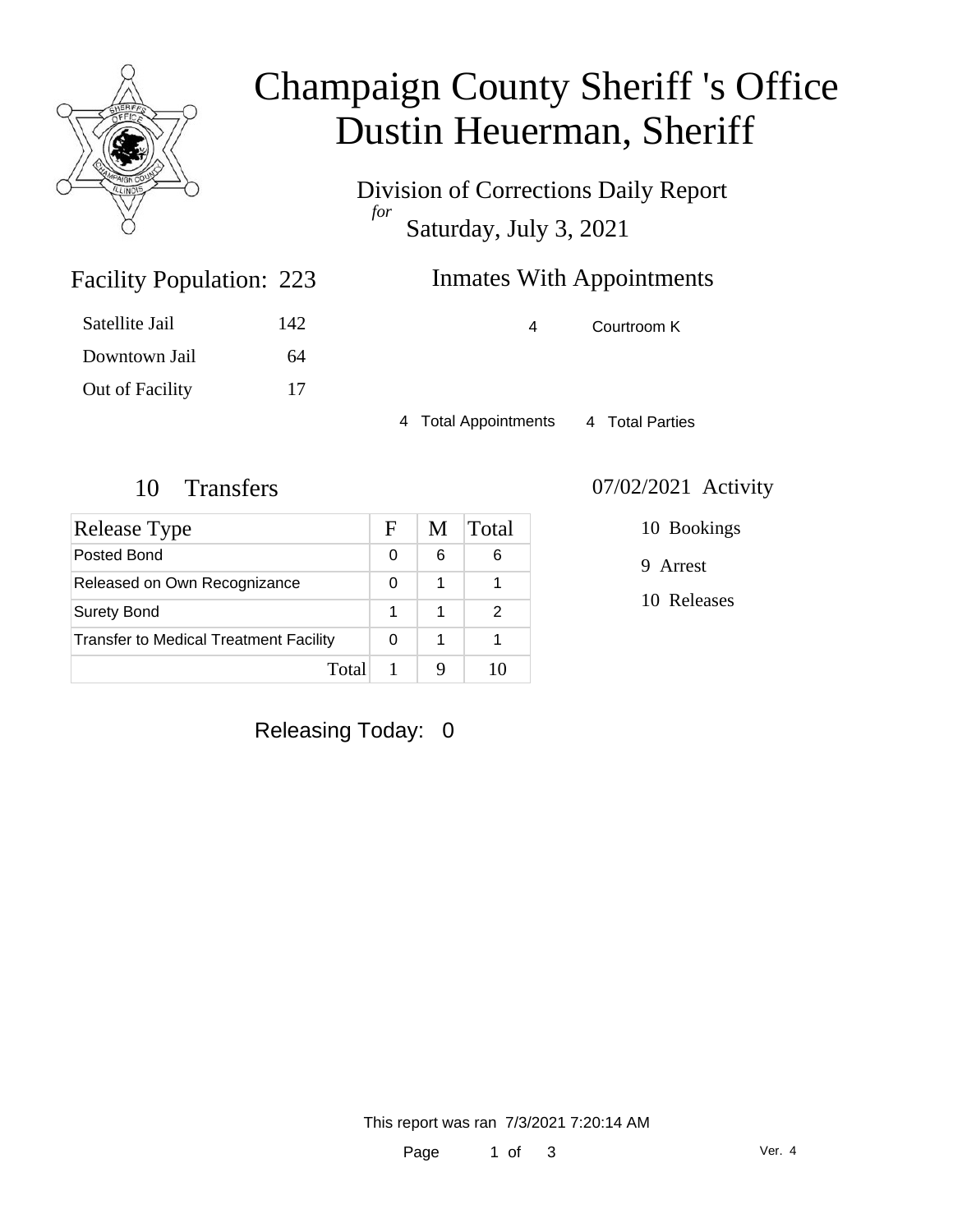

# Champaign County Sheriff 's Office Dustin Heuerman, Sheriff

Division of Corrections Daily Report *for* Saturday, July 3, 2021

## Inmates With Appointments

4 Courtroom K

4 Total Appointments 4 Total Parties

Facility Population: 223

Satellite Jail 142

Downtown Jail 64

Out of Facility 17

| Release Type                                  | F | M | Total |
|-----------------------------------------------|---|---|-------|
| Posted Bond                                   | 0 | 6 | 6     |
| Released on Own Recognizance                  | 0 | 1 |       |
| <b>Surety Bond</b>                            |   | 1 |       |
| <b>Transfer to Medical Treatment Facility</b> |   | 1 |       |
| Total                                         |   |   |       |

#### 10 Transfers 07/02/2021 Activity

10 Bookings

9 Arrest

10 Releases

Releasing Today: 0

This report was ran 7/3/2021 7:20:14 AM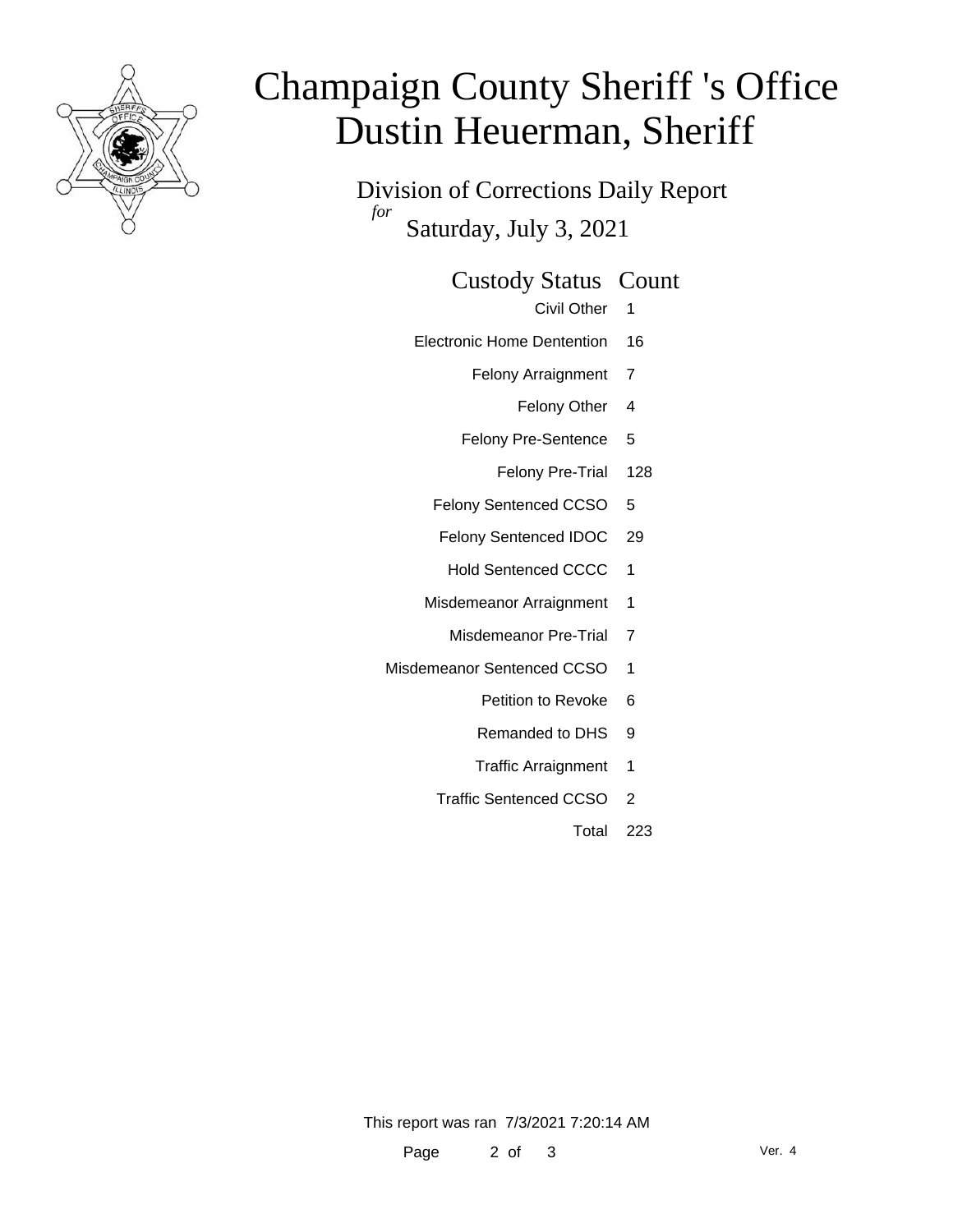

# Champaign County Sheriff 's Office Dustin Heuerman, Sheriff

Division of Corrections Daily Report *for* Saturday, July 3, 2021

#### Custody Status Count

- Civil Other 1
- Electronic Home Dentention 16
	- Felony Arraignment 7
		- Felony Other 4
	- Felony Pre-Sentence 5
		- Felony Pre-Trial 128
	- Felony Sentenced CCSO 5
	- Felony Sentenced IDOC 29
		- Hold Sentenced CCCC 1
	- Misdemeanor Arraignment 1
		- Misdemeanor Pre-Trial 7
- Misdemeanor Sentenced CCSO 1
	- Petition to Revoke 6
	- Remanded to DHS 9
	- Traffic Arraignment 1
	- Traffic Sentenced CCSO 2
		- Total 223